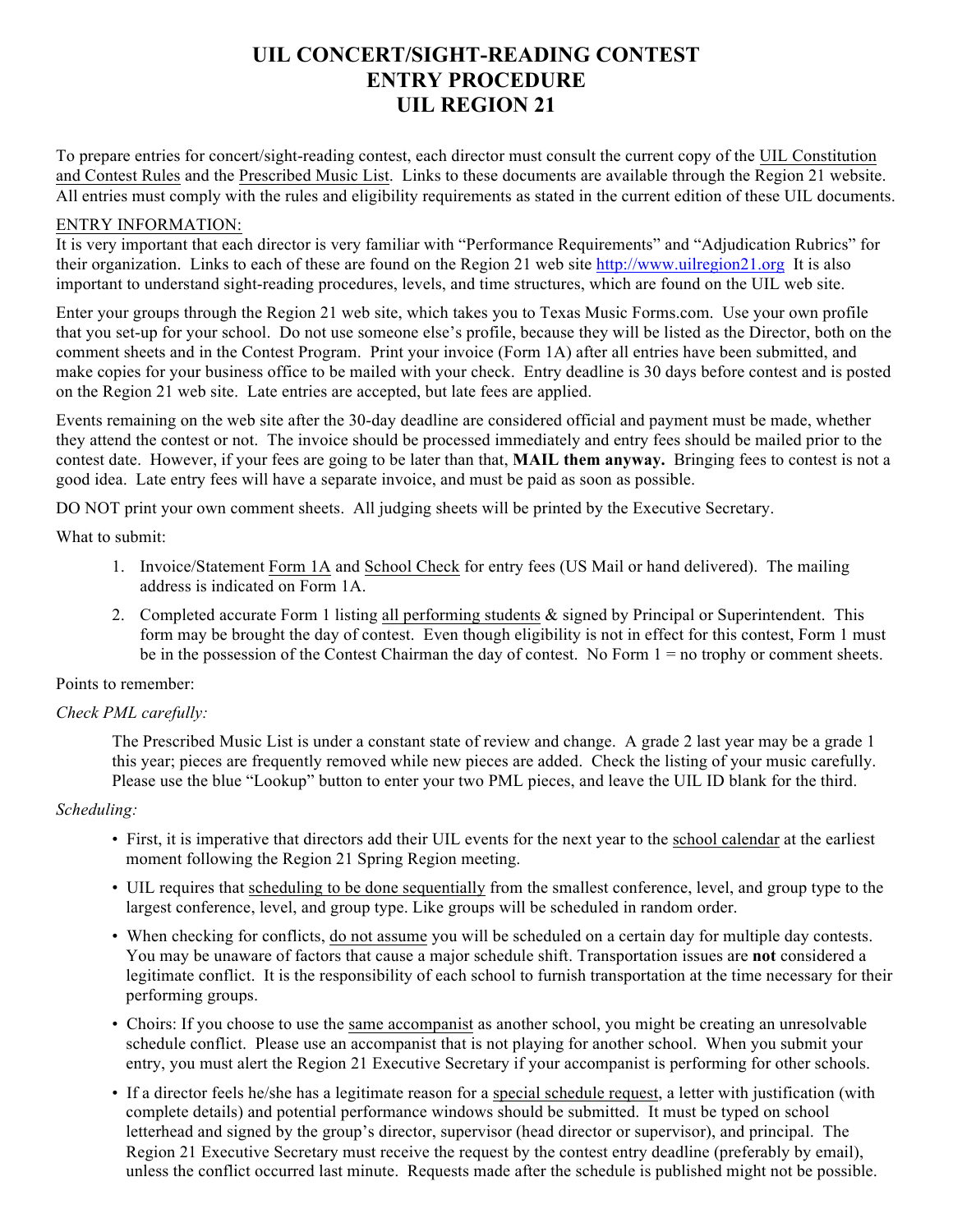# **UIL CONCERT/SIGHT-READING CONTEST ENTRY PROCEDURE UIL REGION 21**

To prepare entries for concert/sight-reading contest, each director must consult the current copy of the UIL Constitution and Contest Rules and the Prescribed Music List. Links to these documents are available through the Region 21 website. All entries must comply with the rules and eligibility requirements as stated in the current edition of these UIL documents.

#### ENTRY INFORMATION:

It is very important that each director is very familiar with "Performance Requirements" and "Adjudication Rubrics" for their organization. Links to each of these are found on the Region 21 web site http://www.uilregion21.org It is also important to understand sight-reading procedures, levels, and time structures, which are found on the UIL web site.

Enter your groups through the Region 21 web site, which takes you to Texas Music Forms.com. Use your own profile that you set-up for your school. Do not use someone else's profile, because they will be listed as the Director, both on the comment sheets and in the Contest Program. Print your invoice (Form 1A) after all entries have been submitted, and make copies for your business office to be mailed with your check. Entry deadline is 30 days before contest and is posted on the Region 21 web site. Late entries are accepted, but late fees are applied.

Events remaining on the web site after the 30-day deadline are considered official and payment must be made, whether they attend the contest or not. The invoice should be processed immediately and entry fees should be mailed prior to the contest date. However, if your fees are going to be later than that, **MAIL them anyway.** Bringing fees to contest is not a good idea. Late entry fees will have a separate invoice, and must be paid as soon as possible.

DO NOT print your own comment sheets. All judging sheets will be printed by the Executive Secretary.

What to submit:

- 1. Invoice/Statement Form 1A and School Check for entry fees (US Mail or hand delivered). The mailing address is indicated on Form 1A.
- 2. Completed accurate Form 1 listing all performing students & signed by Principal or Superintendent. This form may be brought the day of contest. Even though eligibility is not in effect for this contest, Form 1 must be in the possession of the Contest Chairman the day of contest. No Form 1 = no trophy or comment sheets.

# Points to remember:

# *Check PML carefully:*

The Prescribed Music List is under a constant state of review and change. A grade 2 last year may be a grade 1 this year; pieces are frequently removed while new pieces are added. Check the listing of your music carefully. Please use the blue "Lookup" button to enter your two PML pieces, and leave the UIL ID blank for the third.

# *Scheduling:*

- First, it is imperative that directors add their UIL events for the next year to the school calendar at the earliest moment following the Region 21 Spring Region meeting.
- UIL requires that scheduling to be done sequentially from the smallest conference, level, and group type to the largest conference, level, and group type. Like groups will be scheduled in random order.
- When checking for conflicts, do not assume you will be scheduled on a certain day for multiple day contests. You may be unaware of factors that cause a major schedule shift. Transportation issues are **not** considered a legitimate conflict. It is the responsibility of each school to furnish transportation at the time necessary for their performing groups.
- Choirs: If you choose to use the same accompanist as another school, you might be creating an unresolvable schedule conflict. Please use an accompanist that is not playing for another school. When you submit your entry, you must alert the Region 21 Executive Secretary if your accompanist is performing for other schools.
- If a director feels he/she has a legitimate reason for a special schedule request, a letter with justification (with complete details) and potential performance windows should be submitted. It must be typed on school letterhead and signed by the group's director, supervisor (head director or supervisor), and principal. The Region 21 Executive Secretary must receive the request by the contest entry deadline (preferably by email), unless the conflict occurred last minute. Requests made after the schedule is published might not be possible.